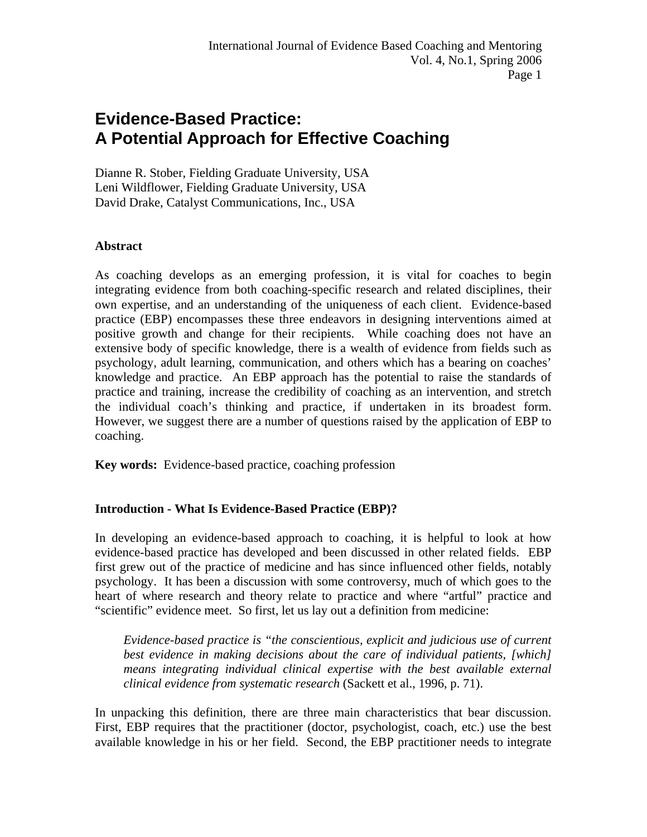# **Evidence-Based Practice: A Potential Approach for Effective Coaching**

Dianne R. Stober, Fielding Graduate University, USA Leni Wildflower, Fielding Graduate University, USA David Drake, Catalyst Communications, Inc., USA

#### **Abstract**

As coaching develops as an emerging profession, it is vital for coaches to begin integrating evidence from both coaching-specific research and related disciplines, their own expertise, and an understanding of the uniqueness of each client. Evidence-based practice (EBP) encompasses these three endeavors in designing interventions aimed at positive growth and change for their recipients. While coaching does not have an extensive body of specific knowledge, there is a wealth of evidence from fields such as psychology, adult learning, communication, and others which has a bearing on coaches' knowledge and practice. An EBP approach has the potential to raise the standards of practice and training, increase the credibility of coaching as an intervention, and stretch the individual coach's thinking and practice, if undertaken in its broadest form. However, we suggest there are a number of questions raised by the application of EBP to coaching.

**Key words:** Evidence-based practice, coaching profession

# **Introduction - What Is Evidence-Based Practice (EBP)?**

In developing an evidence-based approach to coaching, it is helpful to look at how evidence-based practice has developed and been discussed in other related fields. EBP first grew out of the practice of medicine and has since influenced other fields, notably psychology. It has been a discussion with some controversy, much of which goes to the heart of where research and theory relate to practice and where "artful" practice and "scientific" evidence meet. So first, let us lay out a definition from medicine:

*Evidence-based practice is "the conscientious, explicit and judicious use of current best evidence in making decisions about the care of individual patients, [which] means integrating individual clinical expertise with the best available external clinical evidence from systematic research* (Sackett et al., 1996, p. 71).

In unpacking this definition, there are three main characteristics that bear discussion. First, EBP requires that the practitioner (doctor, psychologist, coach, etc.) use the best available knowledge in his or her field. Second, the EBP practitioner needs to integrate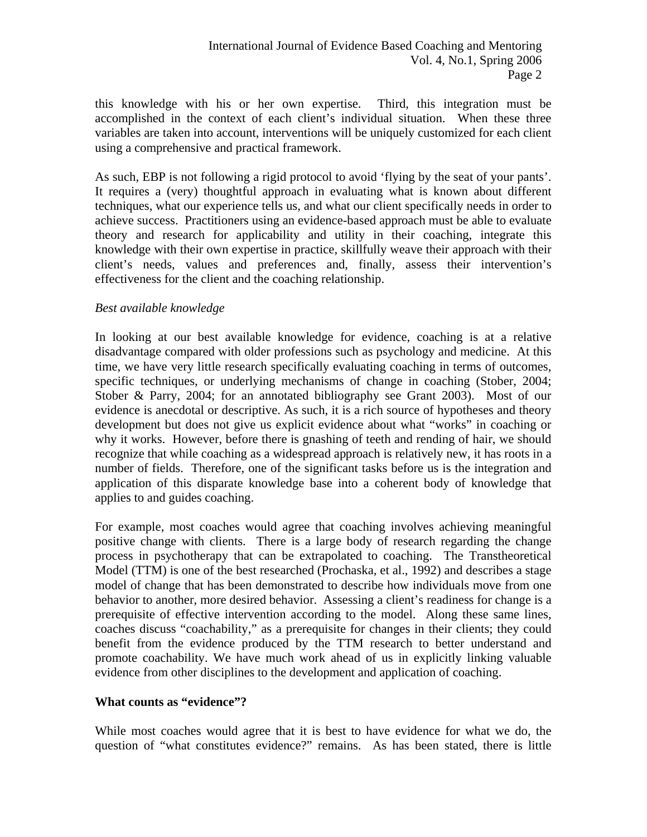this knowledge with his or her own expertise. Third, this integration must be accomplished in the context of each client's individual situation. When these three variables are taken into account, interventions will be uniquely customized for each client using a comprehensive and practical framework.

As such, EBP is not following a rigid protocol to avoid 'flying by the seat of your pants'. It requires a (very) thoughtful approach in evaluating what is known about different techniques, what our experience tells us, and what our client specifically needs in order to achieve success. Practitioners using an evidence-based approach must be able to evaluate theory and research for applicability and utility in their coaching, integrate this knowledge with their own expertise in practice, skillfully weave their approach with their client's needs, values and preferences and, finally, assess their intervention's effectiveness for the client and the coaching relationship.

# *Best available knowledge*

In looking at our best available knowledge for evidence, coaching is at a relative disadvantage compared with older professions such as psychology and medicine. At this time, we have very little research specifically evaluating coaching in terms of outcomes, specific techniques, or underlying mechanisms of change in coaching (Stober, 2004; Stober & Parry, 2004; for an annotated bibliography see Grant 2003). Most of our evidence is anecdotal or descriptive. As such, it is a rich source of hypotheses and theory development but does not give us explicit evidence about what "works" in coaching or why it works. However, before there is gnashing of teeth and rending of hair, we should recognize that while coaching as a widespread approach is relatively new, it has roots in a number of fields. Therefore, one of the significant tasks before us is the integration and application of this disparate knowledge base into a coherent body of knowledge that applies to and guides coaching.

For example, most coaches would agree that coaching involves achieving meaningful positive change with clients. There is a large body of research regarding the change process in psychotherapy that can be extrapolated to coaching. The Transtheoretical Model (TTM) is one of the best researched (Prochaska, et al., 1992) and describes a stage model of change that has been demonstrated to describe how individuals move from one behavior to another, more desired behavior. Assessing a client's readiness for change is a prerequisite of effective intervention according to the model. Along these same lines, coaches discuss "coachability," as a prerequisite for changes in their clients; they could benefit from the evidence produced by the TTM research to better understand and promote coachability. We have much work ahead of us in explicitly linking valuable evidence from other disciplines to the development and application of coaching.

#### **What counts as "evidence"?**

While most coaches would agree that it is best to have evidence for what we do, the question of "what constitutes evidence?" remains. As has been stated, there is little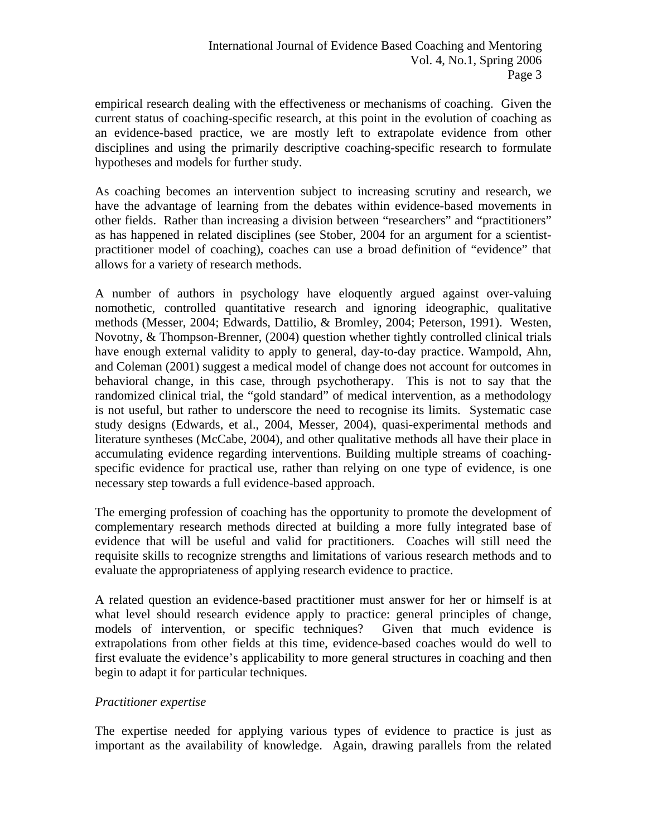empirical research dealing with the effectiveness or mechanisms of coaching. Given the current status of coaching-specific research, at this point in the evolution of coaching as an evidence-based practice, we are mostly left to extrapolate evidence from other disciplines and using the primarily descriptive coaching-specific research to formulate hypotheses and models for further study.

As coaching becomes an intervention subject to increasing scrutiny and research, we have the advantage of learning from the debates within evidence-based movements in other fields. Rather than increasing a division between "researchers" and "practitioners" as has happened in related disciplines (see Stober, 2004 for an argument for a scientistpractitioner model of coaching), coaches can use a broad definition of "evidence" that allows for a variety of research methods.

A number of authors in psychology have eloquently argued against over-valuing nomothetic, controlled quantitative research and ignoring ideographic, qualitative methods (Messer, 2004; Edwards, Dattilio, & Bromley, 2004; Peterson, 1991). Westen, Novotny, & Thompson-Brenner, (2004) question whether tightly controlled clinical trials have enough external validity to apply to general, day-to-day practice. Wampold, Ahn, and Coleman (2001) suggest a medical model of change does not account for outcomes in behavioral change, in this case, through psychotherapy. This is not to say that the randomized clinical trial, the "gold standard" of medical intervention, as a methodology is not useful, but rather to underscore the need to recognise its limits. Systematic case study designs (Edwards, et al., 2004, Messer, 2004), quasi-experimental methods and literature syntheses (McCabe, 2004), and other qualitative methods all have their place in accumulating evidence regarding interventions. Building multiple streams of coachingspecific evidence for practical use, rather than relying on one type of evidence, is one necessary step towards a full evidence-based approach.

The emerging profession of coaching has the opportunity to promote the development of complementary research methods directed at building a more fully integrated base of evidence that will be useful and valid for practitioners. Coaches will still need the requisite skills to recognize strengths and limitations of various research methods and to evaluate the appropriateness of applying research evidence to practice.

A related question an evidence-based practitioner must answer for her or himself is at what level should research evidence apply to practice: general principles of change, models of intervention, or specific techniques? Given that much evidence is extrapolations from other fields at this time, evidence-based coaches would do well to first evaluate the evidence's applicability to more general structures in coaching and then begin to adapt it for particular techniques.

#### *Practitioner expertise*

The expertise needed for applying various types of evidence to practice is just as important as the availability of knowledge. Again, drawing parallels from the related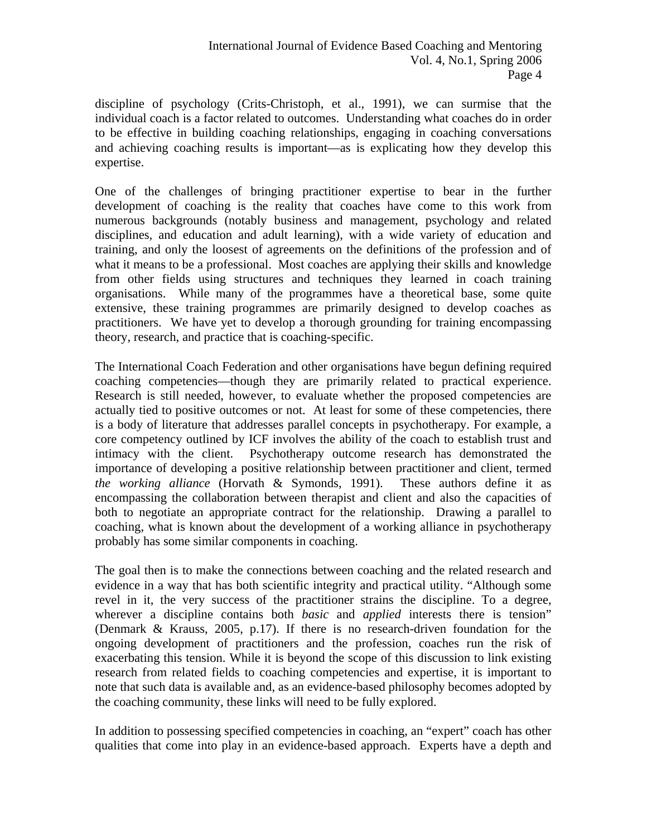discipline of psychology (Crits-Christoph, et al., 1991), we can surmise that the individual coach is a factor related to outcomes. Understanding what coaches do in order to be effective in building coaching relationships, engaging in coaching conversations and achieving coaching results is important—as is explicating how they develop this expertise.

One of the challenges of bringing practitioner expertise to bear in the further development of coaching is the reality that coaches have come to this work from numerous backgrounds (notably business and management, psychology and related disciplines, and education and adult learning), with a wide variety of education and training, and only the loosest of agreements on the definitions of the profession and of what it means to be a professional. Most coaches are applying their skills and knowledge from other fields using structures and techniques they learned in coach training organisations. While many of the programmes have a theoretical base, some quite extensive, these training programmes are primarily designed to develop coaches as practitioners. We have yet to develop a thorough grounding for training encompassing theory, research, and practice that is coaching-specific.

The International Coach Federation and other organisations have begun defining required coaching competencies—though they are primarily related to practical experience. Research is still needed, however, to evaluate whether the proposed competencies are actually tied to positive outcomes or not. At least for some of these competencies, there is a body of literature that addresses parallel concepts in psychotherapy. For example, a core competency outlined by ICF involves the ability of the coach to establish trust and intimacy with the client. Psychotherapy outcome research has demonstrated the importance of developing a positive relationship between practitioner and client, termed *the working alliance* (Horvath & Symonds, 1991). These authors define it as encompassing the collaboration between therapist and client and also the capacities of both to negotiate an appropriate contract for the relationship. Drawing a parallel to coaching, what is known about the development of a working alliance in psychotherapy probably has some similar components in coaching.

The goal then is to make the connections between coaching and the related research and evidence in a way that has both scientific integrity and practical utility. "Although some revel in it, the very success of the practitioner strains the discipline. To a degree, wherever a discipline contains both *basic* and *applied* interests there is tension" (Denmark & Krauss, 2005, p.17). If there is no research-driven foundation for the ongoing development of practitioners and the profession, coaches run the risk of exacerbating this tension. While it is beyond the scope of this discussion to link existing research from related fields to coaching competencies and expertise, it is important to note that such data is available and, as an evidence-based philosophy becomes adopted by the coaching community, these links will need to be fully explored.

In addition to possessing specified competencies in coaching, an "expert" coach has other qualities that come into play in an evidence-based approach. Experts have a depth and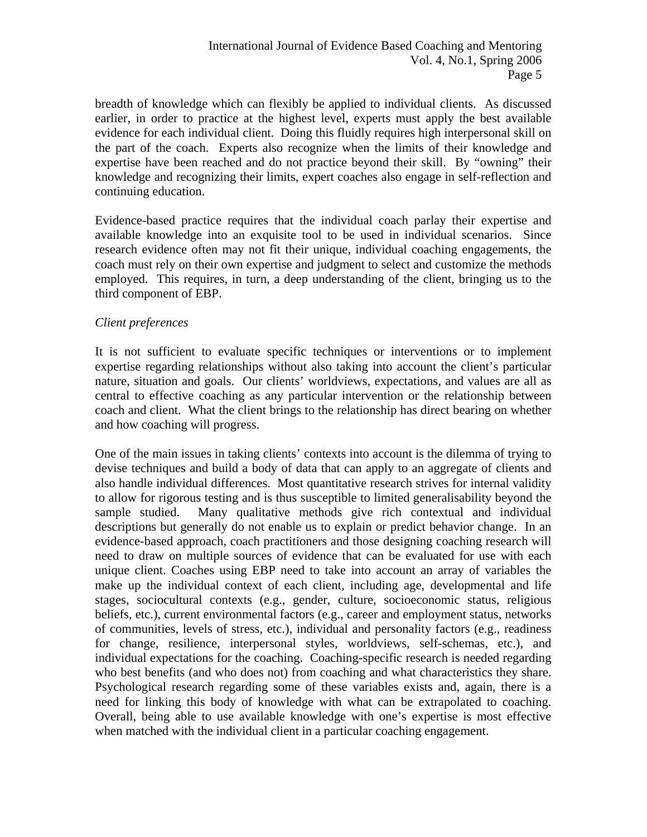breadth of knowledge which can flexibly be applied to individual clients. As discussed earlier, in order to practice at the highest level, experts must apply the best available evidence for each individual client. Doing this fluidly requires high interpersonal skill on the part of the coach. Experts also recognize when the limits of their knowledge and expertise have been reached and do not practice beyond their skill. By "owning" their knowledge and recognizing their limits, expert coaches also engage in self-reflection and continuing education.

Evidence-based practice requires that the individual coach parlay their expertise and available knowledge into an exquisite tool to be used in individual scenarios. Since research evidence often may not fit their unique, individual coaching engagements, the coach must rely on their own expertise and judgment to select and customize the methods employed. This requires, in turn, a deep understanding of the client, bringing us to the third component of EBP.

## *Client preferences*

It is not sufficient to evaluate specific techniques or interventions or to implement expertise regarding relationships without also taking into account the client's particular nature, situation and goals. Our clients' worldviews, expectations, and values are all as central to effective coaching as any particular intervention or the relationship between coach and client. What the client brings to the relationship has direct bearing on whether and how coaching will progress.

One of the main issues in taking clients' contexts into account is the dilemma of trying to devise techniques and build a body of data that can apply to an aggregate of clients and also handle individual differences. Most quantitative research strives for internal validity to allow for rigorous testing and is thus susceptible to limited generalisability beyond the sample studied. Many qualitative methods give rich contextual and individual descriptions but generally do not enable us to explain or predict behavior change. In an evidence-based approach, coach practitioners and those designing coaching research will need to draw on multiple sources of evidence that can be evaluated for use with each unique client. Coaches using EBP need to take into account an array of variables the make up the individual context of each client, including age, developmental and life stages, sociocultural contexts (e.g., gender, culture, socioeconomic status, religious beliefs, etc.), current environmental factors (e.g., career and employment status, networks of communities, levels of stress, etc.), individual and personality factors (e.g., readiness for change, resilience, interpersonal styles, worldviews, self-schemas, etc.), and individual expectations for the coaching. Coaching-specific research is needed regarding who best benefits (and who does not) from coaching and what characteristics they share. Psychological research regarding some of these variables exists and, again, there is a need for linking this body of knowledge with what can be extrapolated to coaching. Overall, being able to use available knowledge with one's expertise is most effective when matched with the individual client in a particular coaching engagement.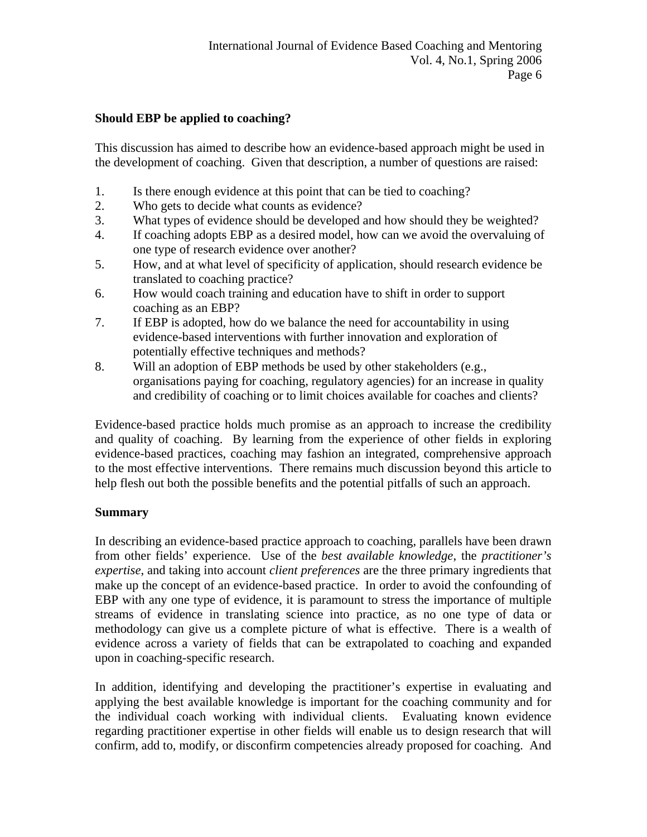## **Should EBP be applied to coaching?**

This discussion has aimed to describe how an evidence-based approach might be used in the development of coaching. Given that description, a number of questions are raised:

- 1. Is there enough evidence at this point that can be tied to coaching?
- 2. Who gets to decide what counts as evidence?
- 3. What types of evidence should be developed and how should they be weighted?
- 4. If coaching adopts EBP as a desired model, how can we avoid the overvaluing of one type of research evidence over another?
- 5. How, and at what level of specificity of application, should research evidence be translated to coaching practice?
- 6. How would coach training and education have to shift in order to support coaching as an EBP?
- 7. If EBP is adopted, how do we balance the need for accountability in using evidence-based interventions with further innovation and exploration of potentially effective techniques and methods?
- 8. Will an adoption of EBP methods be used by other stakeholders (e.g., organisations paying for coaching, regulatory agencies) for an increase in quality and credibility of coaching or to limit choices available for coaches and clients?

Evidence-based practice holds much promise as an approach to increase the credibility and quality of coaching. By learning from the experience of other fields in exploring evidence-based practices, coaching may fashion an integrated, comprehensive approach to the most effective interventions. There remains much discussion beyond this article to help flesh out both the possible benefits and the potential pitfalls of such an approach.

#### **Summary**

In describing an evidence-based practice approach to coaching, parallels have been drawn from other fields' experience. Use of the *best available knowledge*, the *practitioner's expertise*, and taking into account *client preferences* are the three primary ingredients that make up the concept of an evidence-based practice. In order to avoid the confounding of EBP with any one type of evidence, it is paramount to stress the importance of multiple streams of evidence in translating science into practice, as no one type of data or methodology can give us a complete picture of what is effective. There is a wealth of evidence across a variety of fields that can be extrapolated to coaching and expanded upon in coaching-specific research.

In addition, identifying and developing the practitioner's expertise in evaluating and applying the best available knowledge is important for the coaching community and for the individual coach working with individual clients. Evaluating known evidence regarding practitioner expertise in other fields will enable us to design research that will confirm, add to, modify, or disconfirm competencies already proposed for coaching. And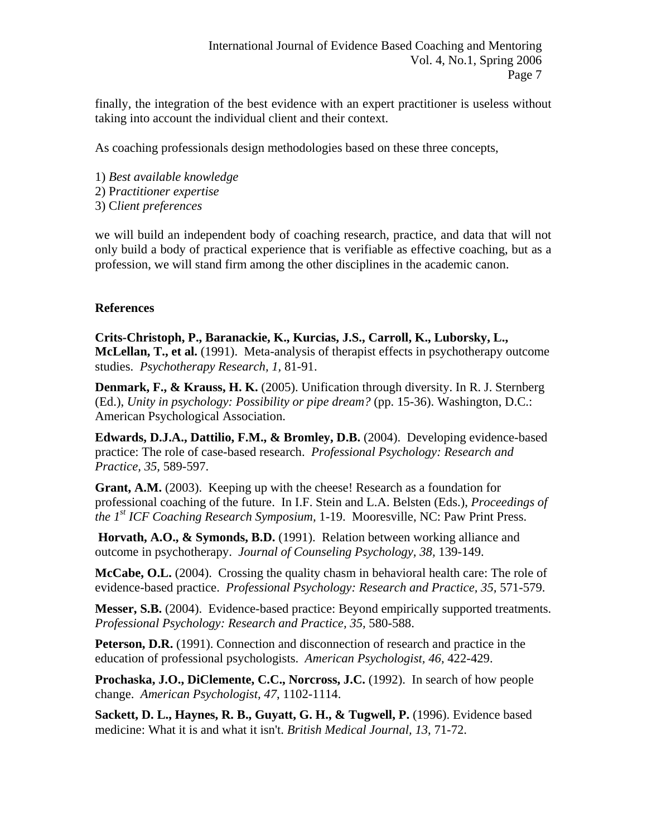finally, the integration of the best evidence with an expert practitioner is useless without taking into account the individual client and their context.

As coaching professionals design methodologies based on these three concepts,

- 1) *Best available knowledge* 2) P*ractitioner expertise*
- 3) C*lient preferences*

we will build an independent body of coaching research, practice, and data that will not only build a body of practical experience that is verifiable as effective coaching, but as a profession, we will stand firm among the other disciplines in the academic canon.

## **References**

**Crits-Christoph, P., Baranackie, K., Kurcias, J.S., Carroll, K., Luborsky, L., McLellan, T., et al.** (1991). Meta-analysis of therapist effects in psychotherapy outcome studies. *Psychotherapy Research, 1,* 81-91.

**Denmark, F., & Krauss, H. K.** (2005). Unification through diversity. In R. J. Sternberg (Ed.), *Unity in psychology: Possibility or pipe dream?* (pp. 15-36). Washington, D.C.: American Psychological Association.

**Edwards, D.J.A., Dattilio, F.M., & Bromley, D.B.** (2004). Developing evidence-based practice: The role of case-based research. *Professional Psychology: Research and Practice, 35,* 589-597.

**Grant, A.M.** (2003). Keeping up with the cheese! Research as a foundation for professional coaching of the future. In I.F. Stein and L.A. Belsten (Eds.), *Proceedings of the 1st ICF Coaching Research Symposium,* 1-19. Mooresville, NC: Paw Print Press.

 **Horvath, A.O., & Symonds, B.D.** (1991). Relation between working alliance and outcome in psychotherapy. *Journal of Counseling Psychology, 38,* 139-149.

**McCabe, O.L.** (2004). Crossing the quality chasm in behavioral health care: The role of evidence-based practice. *Professional Psychology: Research and Practice, 35,* 571-579.

**Messer, S.B.** (2004). Evidence-based practice: Beyond empirically supported treatments. *Professional Psychology: Research and Practice, 35,* 580-588.

**Peterson, D.R.** (1991). Connection and disconnection of research and practice in the education of professional psychologists. *American Psychologist, 46,* 422-429.

**Prochaska, J.O., DiClemente, C.C., Norcross, J.C.** (1992). In search of how people change. *American Psychologist, 47*, 1102-1114.

**Sackett, D. L., Haynes, R. B., Guyatt, G. H., & Tugwell, P.** (1996). Evidence based medicine: What it is and what it isn't. *British Medical Journal, 13*, 71-72.